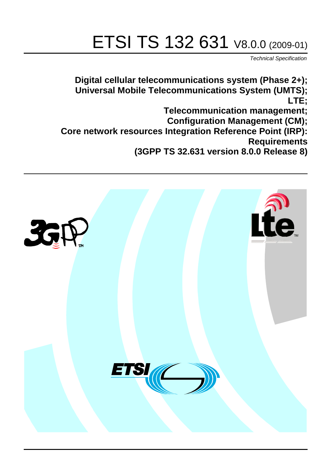# ETSI TS 132 631 V8.0.0 (2009-01)

*Technical Specification*

**Digital cellular telecommunications system (Phase 2+); Universal Mobile Telecommunications System (UMTS); LTE; Telecommunication management; Configuration Management (CM); Core network resources Integration Reference Point (IRP): Requirements (3GPP TS 32.631 version 8.0.0 Release 8)**

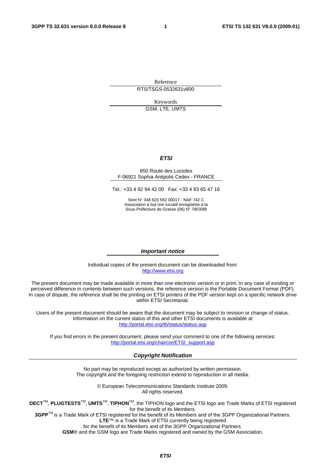Reference RTS/TSGS-0532631v800

> Keywords GSM, LTE, UMTS

#### *ETSI*

#### 650 Route des Lucioles F-06921 Sophia Antipolis Cedex - FRANCE

Tel.: +33 4 92 94 42 00 Fax: +33 4 93 65 47 16

Siret N° 348 623 562 00017 - NAF 742 C Association à but non lucratif enregistrée à la Sous-Préfecture de Grasse (06) N° 7803/88

#### *Important notice*

Individual copies of the present document can be downloaded from: [http://www.etsi.org](http://www.etsi.org/)

The present document may be made available in more than one electronic version or in print. In any case of existing or perceived difference in contents between such versions, the reference version is the Portable Document Format (PDF). In case of dispute, the reference shall be the printing on ETSI printers of the PDF version kept on a specific network drive within ETSI Secretariat.

Users of the present document should be aware that the document may be subject to revision or change of status. Information on the current status of this and other ETSI documents is available at <http://portal.etsi.org/tb/status/status.asp>

If you find errors in the present document, please send your comment to one of the following services: [http://portal.etsi.org/chaircor/ETSI\\_support.asp](http://portal.etsi.org/chaircor/ETSI_support.asp)

#### *Copyright Notification*

No part may be reproduced except as authorized by written permission. The copyright and the foregoing restriction extend to reproduction in all media.

> © European Telecommunications Standards Institute 2009. All rights reserved.

**DECT**TM, **PLUGTESTS**TM, **UMTS**TM, **TIPHON**TM, the TIPHON logo and the ETSI logo are Trade Marks of ETSI registered for the benefit of its Members.

**3GPP**TM is a Trade Mark of ETSI registered for the benefit of its Members and of the 3GPP Organizational Partners. **LTE**™ is a Trade Mark of ETSI currently being registered

for the benefit of its Members and of the 3GPP Organizational Partners.

**GSM**® and the GSM logo are Trade Marks registered and owned by the GSM Association.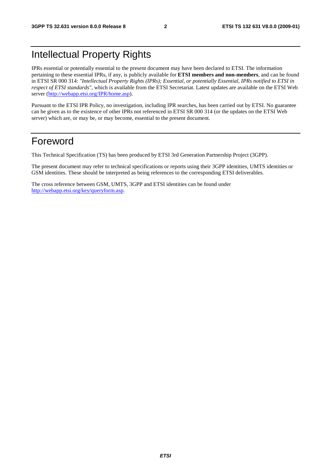### Intellectual Property Rights

IPRs essential or potentially essential to the present document may have been declared to ETSI. The information pertaining to these essential IPRs, if any, is publicly available for **ETSI members and non-members**, and can be found in ETSI SR 000 314: *"Intellectual Property Rights (IPRs); Essential, or potentially Essential, IPRs notified to ETSI in respect of ETSI standards"*, which is available from the ETSI Secretariat. Latest updates are available on the ETSI Web server ([http://webapp.etsi.org/IPR/home.asp\)](http://webapp.etsi.org/IPR/home.asp).

Pursuant to the ETSI IPR Policy, no investigation, including IPR searches, has been carried out by ETSI. No guarantee can be given as to the existence of other IPRs not referenced in ETSI SR 000 314 (or the updates on the ETSI Web server) which are, or may be, or may become, essential to the present document.

#### Foreword

This Technical Specification (TS) has been produced by ETSI 3rd Generation Partnership Project (3GPP).

The present document may refer to technical specifications or reports using their 3GPP identities, UMTS identities or GSM identities. These should be interpreted as being references to the corresponding ETSI deliverables.

The cross reference between GSM, UMTS, 3GPP and ETSI identities can be found under [http://webapp.etsi.org/key/queryform.asp.](http://webapp.etsi.org/key/queryform.asp)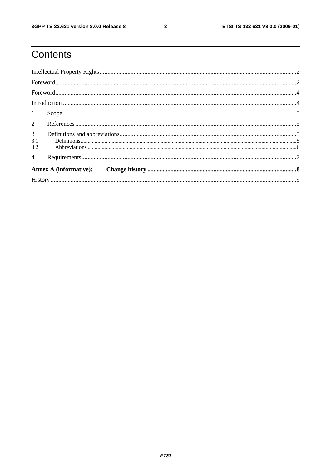## Contents

| 3 <sup>7</sup><br>3.1<br>3.2 |  |  |  |
|------------------------------|--|--|--|
|                              |  |  |  |
|                              |  |  |  |
|                              |  |  |  |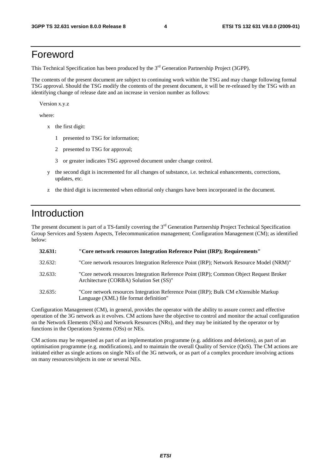#### Foreword

This Technical Specification has been produced by the 3<sup>rd</sup> Generation Partnership Project (3GPP).

The contents of the present document are subject to continuing work within the TSG and may change following formal TSG approval. Should the TSG modify the contents of the present document, it will be re-released by the TSG with an identifying change of release date and an increase in version number as follows:

Version x.y.z

where:

- x the first digit:
	- 1 presented to TSG for information;
	- 2 presented to TSG for approval;
	- 3 or greater indicates TSG approved document under change control.
- y the second digit is incremented for all changes of substance, i.e. technical enhancements, corrections, updates, etc.
- z the third digit is incremented when editorial only changes have been incorporated in the document.

#### Introduction

The present document is part of a TS-family covering the  $3<sup>rd</sup>$  Generation Partnership Project Technical Specification Group Services and System Aspects, Telecommunication management; Configuration Management (CM); as identified below:

| 32.631: | "Core network resources Integration Reference Point (IRP); Requirements"                                                           |
|---------|------------------------------------------------------------------------------------------------------------------------------------|
| 32.632: | "Core network resources Integration Reference Point (IRP); Network Resource Model (NRM)"                                           |
| 32.633: | "Core network resources Integration Reference Point (IRP); Common Object Request Broker<br>Architecture (CORBA) Solution Set (SS)" |
| 32.635: | "Core network resources Integration Reference Point (IRP); Bulk CM eXtensible Markup<br>Language (XML) file format definition"     |

Configuration Management (CM), in general, provides the operator with the ability to assure correct and effective operation of the 3G network as it evolves. CM actions have the objective to control and monitor the actual configuration on the Network Elements (NEs) and Network Resources (NRs), and they may be initiated by the operator or by functions in the Operations Systems (OSs) or NEs.

CM actions may be requested as part of an implementation programme (e.g. additions and deletions), as part of an optimisation programme (e.g. modifications), and to maintain the overall Quality of Service (QoS). The CM actions are initiated either as single actions on single NEs of the 3G network, or as part of a complex procedure involving actions on many resources/objects in one or several NEs.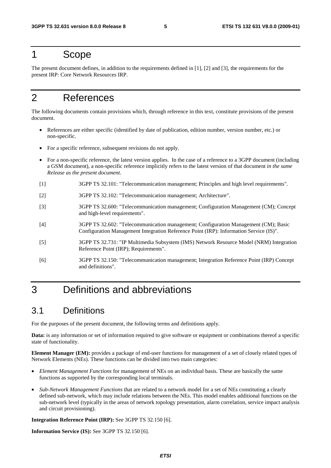#### 1 Scope

The present document defines, in addition to the requirements defined in [1], [2] and [3], the requirements for the present IRP: Core Network Resources IRP.

### 2 References

The following documents contain provisions which, through reference in this text, constitute provisions of the present document.

- References are either specific (identified by date of publication, edition number, version number, etc.) or non-specific.
- For a specific reference, subsequent revisions do not apply.
- For a non-specific reference, the latest version applies. In the case of a reference to a 3GPP document (including a GSM document), a non-specific reference implicitly refers to the latest version of that document *in the same Release as the present document*.
- [1] 3GPP TS 32.101: "Telecommunication management; Principles and high level requirements".
- [2] 3GPP TS 32.102: "Telecommunication management; Architecture".
- [3] 3GPP TS 32.600: "Telecommunication management; Configuration Management (CM); Concept and high-level requirements".
- [4] 3GPP TS 32.602: "Telecommunication management; Configuration Management (CM); Basic Configuration Management Integration Reference Point (IRP): Information Service (IS)".
- [5] 3GPP TS 32.731: "IP Multimedia Subsystem (IMS) Network Resource Model (NRM) Integration Reference Point (IRP); Requirements".
- [6] 3GPP TS 32.150: "Telecommunication management; Integration Reference Point (IRP) Concept and definitions".

### 3 Definitions and abbreviations

#### 3.1 Definitions

For the purposes of the present document, the following terms and definitions apply.

**Data:** is any information or set of information required to give software or equipment or combinations thereof a specific state of functionality.

**Element Manager (EM):** provides a package of end-user functions for management of a set of closely related types of Network Elements (NEs). These functions can be divided into two main categories:

- *Element Management Functions* for management of NEs on an individual basis. These are basically the same functions as supported by the corresponding local terminals.
- *Sub-Network Management Functions* that are related to a network model for a set of NEs constituting a clearly defined sub-network, which may include relations between the NEs. This model enables additional functions on the sub-network level (typically in the areas of network topology presentation, alarm correlation, service impact analysis and circuit provisioning).

**Integration Reference Point (IRP):** See 3GPP TS 32.150 [6].

**Information Service (IS):** See 3GPP TS 32.150 [6].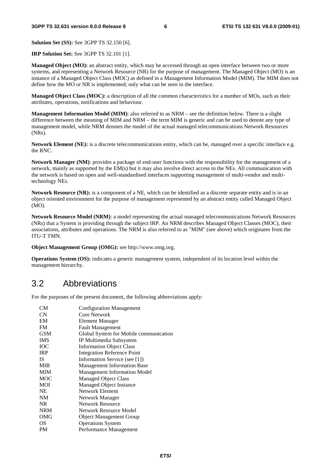**Solution Set (SS):** See 3GPP TS 32.150 [6].

**IRP Solution Set:** See 3GPP TS 32.101 [1].

**Managed Object (MO):** an abstract entity, which may be accessed through an open interface between two or more systems, and representing a Network Resource (NR) for the purpose of management. The Managed Object (MO) is an instance of a Managed Object Class (MOC) as defined in a Management Information Model (MIM). The MIM does not define how the MO or NR is implemented; only what can be seen in the interface.

**Managed Object Class (MOC):** a description of all the common characteristics for a number of MOs, such as their attributes, operations, notifications and behaviour.

**Management Information Model (MIM)**: also referred to as NRM – see the definition below. There is a slight difference between the meaning of MIM and NRM – the term MIM is generic and can be used to denote any type of management model, while NRM denotes the model of the actual managed telecommunications Network Resources (NRs).

**Network Element (NE):** is a discrete telecommunications entity, which can be, managed over a specific interface e.g. the RNC.

**Network Manager (NM)**: provides a package of end-user functions with the responsibility for the management of a network, mainly as supported by the EM(s) but it may also involve direct access to the NEs. All communication with the network is based on open and well-standardised interfaces supporting management of multi-vendor and multitechnology NEs.

**Network Resource (NR):** is a component of a NE, which can be identified as a discrete separate entity and is in an object oriented environment for the purpose of management represented by an abstract entity called Managed Object  $(MO)$ .

**Network Resource Model (NRM)**: a model representing the actual managed telecommunications Network Resources (NRs) that a System is providing through the subject IRP. An NRM describes Managed Object Classes (MOC), their associations, attributes and operations. The NRM is also referred to as "MIM" (see above) which originates from the ITU-T TMN.

**Object Management Group (OMG):** see http://www.omg.org.

**Operations System (OS):** indicates a generic management system, independent of its location level within the management hierarchy.

#### 3.2 Abbreviations

For the purposes of the present document, the following abbreviations apply:

| CМ         | <b>Configuration Management</b>        |
|------------|----------------------------------------|
| CN         | Core Network                           |
| EM         | Element Manager                        |
| <b>FM</b>  | <b>Fault Management</b>                |
| <b>GSM</b> | Global System for Mobile communication |
| <b>IMS</b> | IP Multimedia Subsystem                |
| <b>IOC</b> | <b>Information Object Class</b>        |
| <b>IRP</b> | <b>Integration Reference Point</b>     |
| <b>IS</b>  | Information Service (see [1])          |
| <b>MIB</b> | <b>Management Information Base</b>     |
| <b>MIM</b> | <b>Management Information Model</b>    |
| MOC        | <b>Managed Object Class</b>            |
| <b>MOI</b> | Managed Object Instance                |
| <b>NE</b>  | Network Element                        |
| <b>NM</b>  | Network Manager                        |
| NR.        | <b>Network Resource</b>                |
| <b>NRM</b> | <b>Network Resource Model</b>          |
| OMG        | <b>Object Management Group</b>         |
| OS.        | <b>Operations System</b>               |
| PМ         | Performance Management                 |
|            |                                        |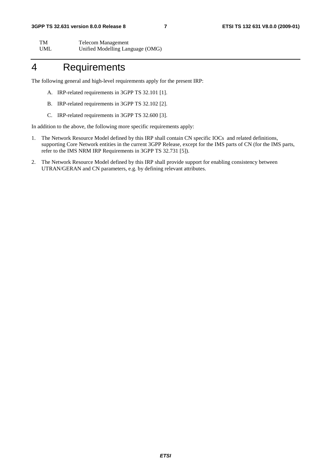TM Telecom Management<br>UML Unified Modelling Lar Unified Modelling Language (OMG)

#### 4 Requirements

The following general and high-level requirements apply for the present IRP:

- A. IRP-related requirements in 3GPP TS 32.101 [1].
- B. IRP-related requirements in 3GPP TS 32.102 [2].
- C. IRP-related requirements in 3GPP TS 32.600 [3].

In addition to the above, the following more specific requirements apply:

- 1. The Network Resource Model defined by this IRP shall contain CN specific IOCs and related definitions, supporting Core Network entities in the current 3GPP Release, except for the IMS parts of CN (for the IMS parts, refer to the IMS NRM IRP Requirements in 3GPP TS 32.731 [5]).
- 2. The Network Resource Model defined by this IRP shall provide support for enabling consistency between UTRAN/GERAN and CN parameters, e.g. by defining relevant attributes.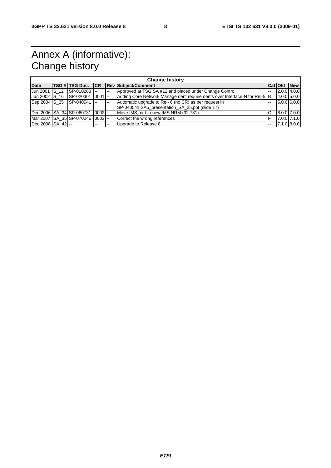### Annex A (informative): Change history

| <b>Change history</b> |  |                                     |       |       |                                                                          |        |               |
|-----------------------|--|-------------------------------------|-------|-------|--------------------------------------------------------------------------|--------|---------------|
| <b>Date</b>           |  | TSG # TSG Doc. CR                   |       |       | <b>Rev Subject/Comment</b>                                               |        | Cat Old New   |
|                       |  | Uun 2001 S 12 SP-010283 --          |       | $- -$ | Approved at TSG SA #12 and placed under Change Control                   | $\sim$ | $2.0.0$ 4.0.0 |
|                       |  | IJun 2002 IS 16 ISP-020301 I0001I-- |       |       | Adding Core Network Management requirements over Interface-N for Rel-5 B |        | $4.0.0$ 5.0.0 |
|                       |  | Sep 2004 S 25 SP-040541 --          |       | $-$   | Automatic upgrade to Rel- 6 (no CR) as per request in                    | ш.     | 5.0.0 6.0.0   |
|                       |  |                                     |       |       | SP-040541 SA5_presentation_SA_25.ppt (slide 17)                          |        |               |
|                       |  | Dec 2006 SA 34 SP-060731 0002 --    |       |       | Move IMS part to new IMS NRM (32.731)                                    | С      | $6.0.0$ 7.0.0 |
|                       |  | Mar 2007 SA 35 SP-070046 0003 --    |       |       | Correct the wrong references                                             | F      | 7.0.0 7.1.0   |
| Dec 2008 SA 42 --     |  |                                     | $- -$ | --    | Upgrade to Release 8                                                     | --     | $7.1.0$ 8.0.0 |